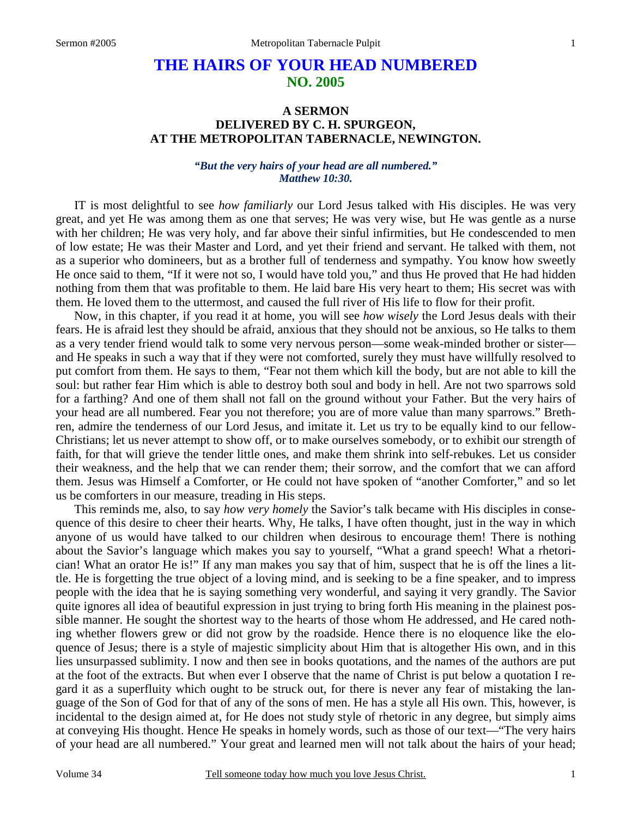# **THE HAIRS OF YOUR HEAD NUMBERED NO. 2005**

#### **A SERMON DELIVERED BY C. H. SPURGEON, AT THE METROPOLITAN TABERNACLE, NEWINGTON.**

#### *"But the very hairs of your head are all numbered." Matthew 10:30.*

IT is most delightful to see *how familiarly* our Lord Jesus talked with His disciples. He was very great, and yet He was among them as one that serves; He was very wise, but He was gentle as a nurse with her children; He was very holy, and far above their sinful infirmities, but He condescended to men of low estate; He was their Master and Lord, and yet their friend and servant. He talked with them, not as a superior who domineers, but as a brother full of tenderness and sympathy. You know how sweetly He once said to them, "If it were not so, I would have told you," and thus He proved that He had hidden nothing from them that was profitable to them. He laid bare His very heart to them; His secret was with them. He loved them to the uttermost, and caused the full river of His life to flow for their profit.

Now, in this chapter, if you read it at home, you will see *how wisely* the Lord Jesus deals with their fears. He is afraid lest they should be afraid, anxious that they should not be anxious, so He talks to them as a very tender friend would talk to some very nervous person—some weak-minded brother or sister and He speaks in such a way that if they were not comforted, surely they must have willfully resolved to put comfort from them. He says to them, "Fear not them which kill the body, but are not able to kill the soul: but rather fear Him which is able to destroy both soul and body in hell. Are not two sparrows sold for a farthing? And one of them shall not fall on the ground without your Father. But the very hairs of your head are all numbered. Fear you not therefore; you are of more value than many sparrows." Brethren, admire the tenderness of our Lord Jesus, and imitate it. Let us try to be equally kind to our fellow-Christians; let us never attempt to show off, or to make ourselves somebody, or to exhibit our strength of faith, for that will grieve the tender little ones, and make them shrink into self-rebukes. Let us consider their weakness, and the help that we can render them; their sorrow, and the comfort that we can afford them. Jesus was Himself a Comforter, or He could not have spoken of "another Comforter," and so let us be comforters in our measure, treading in His steps.

This reminds me, also, to say *how very homely* the Savior's talk became with His disciples in consequence of this desire to cheer their hearts. Why, He talks, I have often thought, just in the way in which anyone of us would have talked to our children when desirous to encourage them! There is nothing about the Savior's language which makes you say to yourself, "What a grand speech! What a rhetorician! What an orator He is!" If any man makes you say that of him, suspect that he is off the lines a little. He is forgetting the true object of a loving mind, and is seeking to be a fine speaker, and to impress people with the idea that he is saying something very wonderful, and saying it very grandly. The Savior quite ignores all idea of beautiful expression in just trying to bring forth His meaning in the plainest possible manner. He sought the shortest way to the hearts of those whom He addressed, and He cared nothing whether flowers grew or did not grow by the roadside. Hence there is no eloquence like the eloquence of Jesus; there is a style of majestic simplicity about Him that is altogether His own, and in this lies unsurpassed sublimity. I now and then see in books quotations, and the names of the authors are put at the foot of the extracts. But when ever I observe that the name of Christ is put below a quotation I regard it as a superfluity which ought to be struck out, for there is never any fear of mistaking the language of the Son of God for that of any of the sons of men. He has a style all His own. This, however, is incidental to the design aimed at, for He does not study style of rhetoric in any degree, but simply aims at conveying His thought. Hence He speaks in homely words, such as those of our text—"The very hairs of your head are all numbered." Your great and learned men will not talk about the hairs of your head;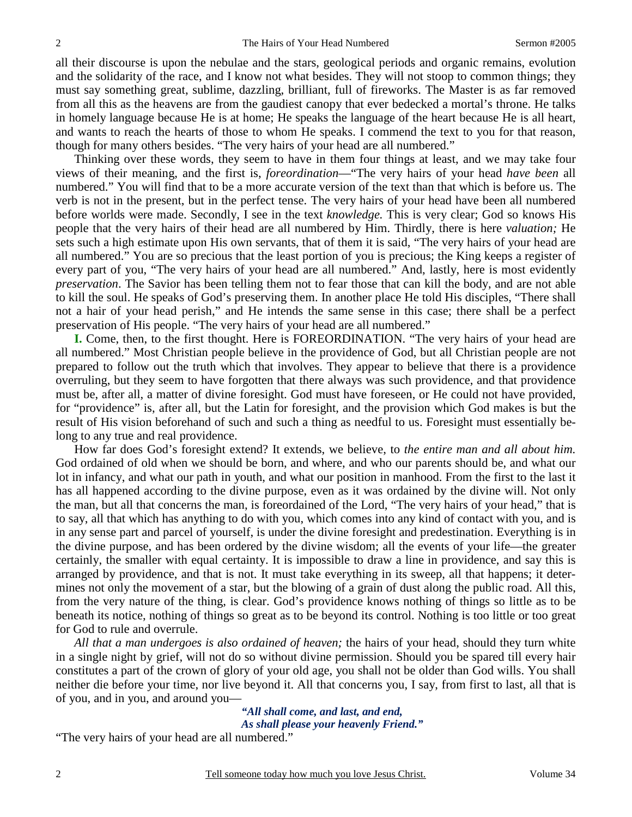all their discourse is upon the nebulae and the stars, geological periods and organic remains, evolution and the solidarity of the race, and I know not what besides. They will not stoop to common things; they must say something great, sublime, dazzling, brilliant, full of fireworks. The Master is as far removed from all this as the heavens are from the gaudiest canopy that ever bedecked a mortal's throne. He talks in homely language because He is at home; He speaks the language of the heart because He is all heart, and wants to reach the hearts of those to whom He speaks. I commend the text to you for that reason, though for many others besides. "The very hairs of your head are all numbered."

Thinking over these words, they seem to have in them four things at least, and we may take four views of their meaning, and the first is, *foreordination*—"The very hairs of your head *have been* all numbered." You will find that to be a more accurate version of the text than that which is before us. The verb is not in the present, but in the perfect tense. The very hairs of your head have been all numbered before worlds were made. Secondly, I see in the text *knowledge.* This is very clear; God so knows His people that the very hairs of their head are all numbered by Him. Thirdly, there is here *valuation;* He sets such a high estimate upon His own servants, that of them it is said, "The very hairs of your head are all numbered." You are so precious that the least portion of you is precious; the King keeps a register of every part of you, "The very hairs of your head are all numbered." And, lastly, here is most evidently *preservation*. The Savior has been telling them not to fear those that can kill the body, and are not able to kill the soul. He speaks of God's preserving them. In another place He told His disciples, "There shall not a hair of your head perish," and He intends the same sense in this case; there shall be a perfect preservation of His people. "The very hairs of your head are all numbered."

**I.** Come, then, to the first thought. Here is FOREORDINATION. "The very hairs of your head are all numbered." Most Christian people believe in the providence of God, but all Christian people are not prepared to follow out the truth which that involves. They appear to believe that there is a providence overruling, but they seem to have forgotten that there always was such providence, and that providence must be, after all, a matter of divine foresight. God must have foreseen, or He could not have provided, for "providence" is, after all, but the Latin for foresight, and the provision which God makes is but the result of His vision beforehand of such and such a thing as needful to us. Foresight must essentially belong to any true and real providence.

How far does God's foresight extend? It extends, we believe, to *the entire man and all about him.* God ordained of old when we should be born, and where, and who our parents should be, and what our lot in infancy, and what our path in youth, and what our position in manhood. From the first to the last it has all happened according to the divine purpose, even as it was ordained by the divine will. Not only the man, but all that concerns the man, is foreordained of the Lord, "The very hairs of your head," that is to say, all that which has anything to do with you, which comes into any kind of contact with you, and is in any sense part and parcel of yourself, is under the divine foresight and predestination. Everything is in the divine purpose, and has been ordered by the divine wisdom; all the events of your life—the greater certainly, the smaller with equal certainty. It is impossible to draw a line in providence, and say this is arranged by providence, and that is not. It must take everything in its sweep, all that happens; it determines not only the movement of a star, but the blowing of a grain of dust along the public road. All this, from the very nature of the thing, is clear. God's providence knows nothing of things so little as to be beneath its notice, nothing of things so great as to be beyond its control. Nothing is too little or too great for God to rule and overrule.

*All that a man undergoes is also ordained of heaven;* the hairs of your head, should they turn white in a single night by grief, will not do so without divine permission. Should you be spared till every hair constitutes a part of the crown of glory of your old age, you shall not be older than God wills. You shall neither die before your time, nor live beyond it. All that concerns you, I say, from first to last, all that is of you, and in you, and around you—

> *"All shall come, and last, and end, As shall please your heavenly Friend."*

"The very hairs of your head are all numbered."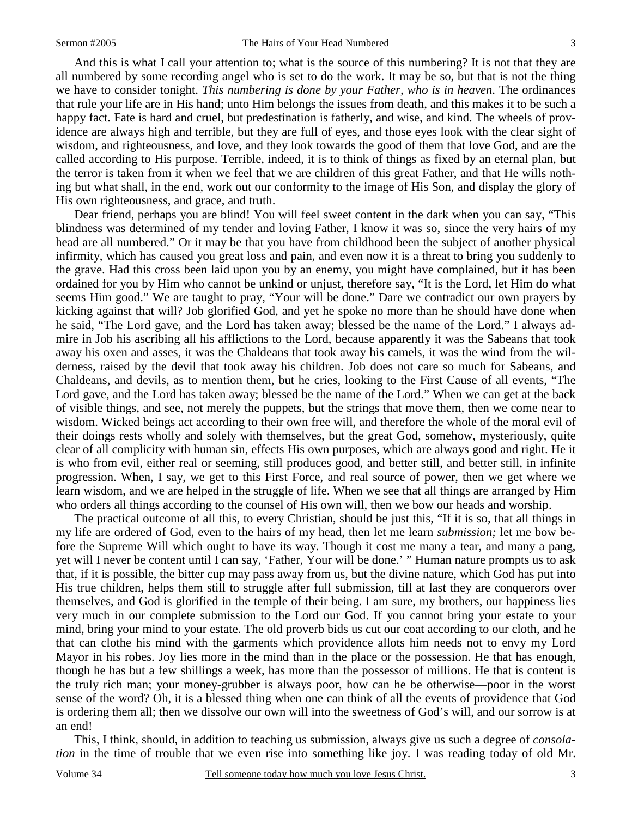3

And this is what I call your attention to; what is the source of this numbering? It is not that they are all numbered by some recording angel who is set to do the work. It may be so, but that is not the thing we have to consider tonight. *This numbering is done by your Father, who is in heaven*. The ordinances that rule your life are in His hand; unto Him belongs the issues from death, and this makes it to be such a happy fact. Fate is hard and cruel, but predestination is fatherly, and wise, and kind. The wheels of providence are always high and terrible, but they are full of eyes, and those eyes look with the clear sight of wisdom, and righteousness, and love, and they look towards the good of them that love God, and are the called according to His purpose. Terrible, indeed, it is to think of things as fixed by an eternal plan, but the terror is taken from it when we feel that we are children of this great Father, and that He wills nothing but what shall, in the end, work out our conformity to the image of His Son, and display the glory of His own righteousness, and grace, and truth.

Dear friend, perhaps you are blind! You will feel sweet content in the dark when you can say, "This blindness was determined of my tender and loving Father, I know it was so, since the very hairs of my head are all numbered." Or it may be that you have from childhood been the subject of another physical infirmity, which has caused you great loss and pain, and even now it is a threat to bring you suddenly to the grave. Had this cross been laid upon you by an enemy, you might have complained, but it has been ordained for you by Him who cannot be unkind or unjust, therefore say, "It is the Lord, let Him do what seems Him good." We are taught to pray, "Your will be done." Dare we contradict our own prayers by kicking against that will? Job glorified God, and yet he spoke no more than he should have done when he said, "The Lord gave, and the Lord has taken away; blessed be the name of the Lord." I always admire in Job his ascribing all his afflictions to the Lord, because apparently it was the Sabeans that took away his oxen and asses, it was the Chaldeans that took away his camels, it was the wind from the wilderness, raised by the devil that took away his children. Job does not care so much for Sabeans, and Chaldeans, and devils, as to mention them, but he cries, looking to the First Cause of all events, "The Lord gave, and the Lord has taken away; blessed be the name of the Lord." When we can get at the back of visible things, and see, not merely the puppets, but the strings that move them, then we come near to wisdom. Wicked beings act according to their own free will, and therefore the whole of the moral evil of their doings rests wholly and solely with themselves, but the great God, somehow, mysteriously, quite clear of all complicity with human sin, effects His own purposes, which are always good and right. He it is who from evil, either real or seeming, still produces good, and better still, and better still, in infinite progression. When, I say, we get to this First Force, and real source of power, then we get where we learn wisdom, and we are helped in the struggle of life. When we see that all things are arranged by Him who orders all things according to the counsel of His own will, then we bow our heads and worship.

The practical outcome of all this, to every Christian, should be just this, "If it is so, that all things in my life are ordered of God, even to the hairs of my head, then let me learn *submission;* let me bow before the Supreme Will which ought to have its way. Though it cost me many a tear, and many a pang, yet will I never be content until I can say, 'Father, Your will be done.' " Human nature prompts us to ask that, if it is possible, the bitter cup may pass away from us, but the divine nature, which God has put into His true children, helps them still to struggle after full submission, till at last they are conquerors over themselves, and God is glorified in the temple of their being. I am sure, my brothers, our happiness lies very much in our complete submission to the Lord our God. If you cannot bring your estate to your mind, bring your mind to your estate. The old proverb bids us cut our coat according to our cloth, and he that can clothe his mind with the garments which providence allots him needs not to envy my Lord Mayor in his robes. Joy lies more in the mind than in the place or the possession. He that has enough, though he has but a few shillings a week, has more than the possessor of millions. He that is content is the truly rich man; your money-grubber is always poor, how can he be otherwise—poor in the worst sense of the word? Oh, it is a blessed thing when one can think of all the events of providence that God is ordering them all; then we dissolve our own will into the sweetness of God's will, and our sorrow is at an end!

This, I think, should, in addition to teaching us submission, always give us such a degree of *consolation* in the time of trouble that we even rise into something like joy. I was reading today of old Mr.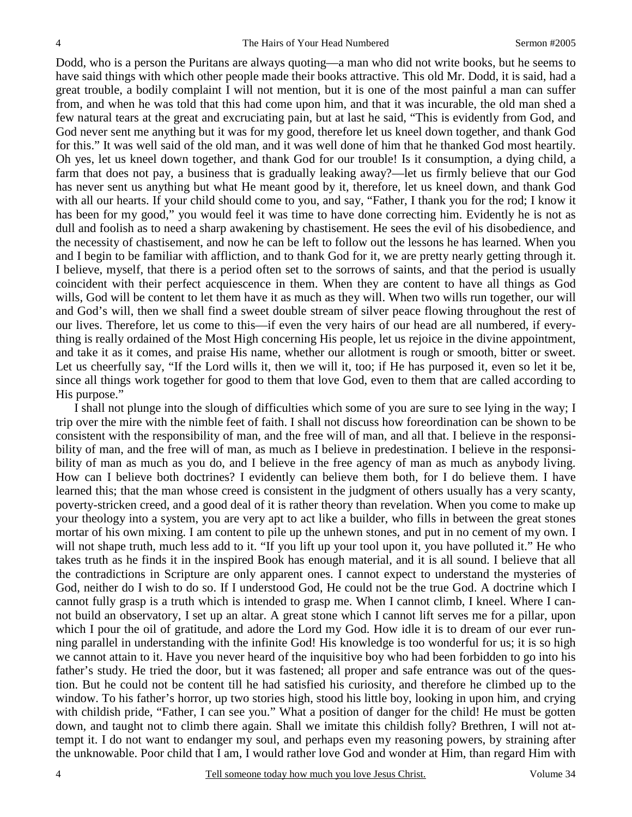Dodd, who is a person the Puritans are always quoting—a man who did not write books, but he seems to have said things with which other people made their books attractive. This old Mr. Dodd, it is said, had a great trouble, a bodily complaint I will not mention, but it is one of the most painful a man can suffer from, and when he was told that this had come upon him, and that it was incurable, the old man shed a few natural tears at the great and excruciating pain, but at last he said, "This is evidently from God, and God never sent me anything but it was for my good, therefore let us kneel down together, and thank God for this." It was well said of the old man, and it was well done of him that he thanked God most heartily. Oh yes, let us kneel down together, and thank God for our trouble! Is it consumption, a dying child, a farm that does not pay, a business that is gradually leaking away?—let us firmly believe that our God has never sent us anything but what He meant good by it, therefore, let us kneel down, and thank God with all our hearts. If your child should come to you, and say, "Father, I thank you for the rod; I know it has been for my good," you would feel it was time to have done correcting him. Evidently he is not as dull and foolish as to need a sharp awakening by chastisement. He sees the evil of his disobedience, and the necessity of chastisement, and now he can be left to follow out the lessons he has learned. When you and I begin to be familiar with affliction, and to thank God for it, we are pretty nearly getting through it. I believe, myself, that there is a period often set to the sorrows of saints, and that the period is usually coincident with their perfect acquiescence in them. When they are content to have all things as God wills, God will be content to let them have it as much as they will. When two wills run together, our will and God's will, then we shall find a sweet double stream of silver peace flowing throughout the rest of our lives. Therefore, let us come to this—if even the very hairs of our head are all numbered, if everything is really ordained of the Most High concerning His people, let us rejoice in the divine appointment, and take it as it comes, and praise His name, whether our allotment is rough or smooth, bitter or sweet. Let us cheerfully say, "If the Lord wills it, then we will it, too; if He has purposed it, even so let it be, since all things work together for good to them that love God, even to them that are called according to His purpose."

I shall not plunge into the slough of difficulties which some of you are sure to see lying in the way; I trip over the mire with the nimble feet of faith. I shall not discuss how foreordination can be shown to be consistent with the responsibility of man, and the free will of man, and all that. I believe in the responsibility of man, and the free will of man, as much as I believe in predestination. I believe in the responsibility of man as much as you do, and I believe in the free agency of man as much as anybody living. How can I believe both doctrines? I evidently can believe them both, for I do believe them. I have learned this; that the man whose creed is consistent in the judgment of others usually has a very scanty, poverty-stricken creed, and a good deal of it is rather theory than revelation. When you come to make up your theology into a system, you are very apt to act like a builder, who fills in between the great stones mortar of his own mixing. I am content to pile up the unhewn stones, and put in no cement of my own. I will not shape truth, much less add to it. "If you lift up your tool upon it, you have polluted it." He who takes truth as he finds it in the inspired Book has enough material, and it is all sound. I believe that all the contradictions in Scripture are only apparent ones. I cannot expect to understand the mysteries of God, neither do I wish to do so. If I understood God, He could not be the true God. A doctrine which I cannot fully grasp is a truth which is intended to grasp me. When I cannot climb, I kneel. Where I cannot build an observatory, I set up an altar. A great stone which I cannot lift serves me for a pillar, upon which I pour the oil of gratitude, and adore the Lord my God. How idle it is to dream of our ever running parallel in understanding with the infinite God! His knowledge is too wonderful for us; it is so high we cannot attain to it. Have you never heard of the inquisitive boy who had been forbidden to go into his father's study. He tried the door, but it was fastened; all proper and safe entrance was out of the question. But he could not be content till he had satisfied his curiosity, and therefore he climbed up to the window. To his father's horror, up two stories high, stood his little boy, looking in upon him, and crying with childish pride, "Father, I can see you." What a position of danger for the child! He must be gotten down, and taught not to climb there again. Shall we imitate this childish folly? Brethren, I will not attempt it. I do not want to endanger my soul, and perhaps even my reasoning powers, by straining after the unknowable. Poor child that I am, I would rather love God and wonder at Him, than regard Him with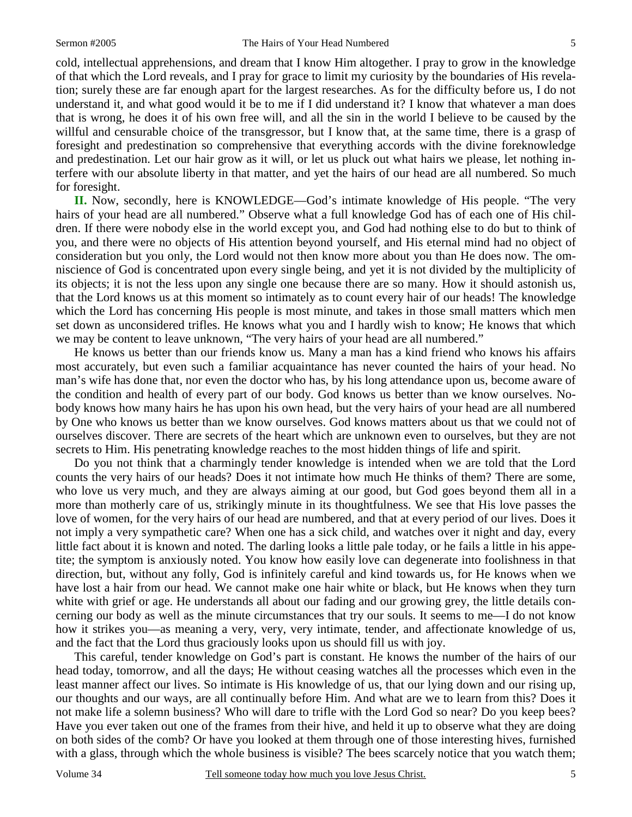cold, intellectual apprehensions, and dream that I know Him altogether. I pray to grow in the knowledge of that which the Lord reveals, and I pray for grace to limit my curiosity by the boundaries of His revelation; surely these are far enough apart for the largest researches. As for the difficulty before us, I do not understand it, and what good would it be to me if I did understand it? I know that whatever a man does that is wrong, he does it of his own free will, and all the sin in the world I believe to be caused by the willful and censurable choice of the transgressor, but I know that, at the same time, there is a grasp of foresight and predestination so comprehensive that everything accords with the divine foreknowledge and predestination. Let our hair grow as it will, or let us pluck out what hairs we please, let nothing interfere with our absolute liberty in that matter, and yet the hairs of our head are all numbered. So much for foresight.

**II.** Now, secondly, here is KNOWLEDGE—God's intimate knowledge of His people. "The very hairs of your head are all numbered." Observe what a full knowledge God has of each one of His children. If there were nobody else in the world except you, and God had nothing else to do but to think of you, and there were no objects of His attention beyond yourself, and His eternal mind had no object of consideration but you only, the Lord would not then know more about you than He does now. The omniscience of God is concentrated upon every single being, and yet it is not divided by the multiplicity of its objects; it is not the less upon any single one because there are so many. How it should astonish us, that the Lord knows us at this moment so intimately as to count every hair of our heads! The knowledge which the Lord has concerning His people is most minute, and takes in those small matters which men set down as unconsidered trifles. He knows what you and I hardly wish to know; He knows that which we may be content to leave unknown, "The very hairs of your head are all numbered."

He knows us better than our friends know us. Many a man has a kind friend who knows his affairs most accurately, but even such a familiar acquaintance has never counted the hairs of your head. No man's wife has done that, nor even the doctor who has, by his long attendance upon us, become aware of the condition and health of every part of our body. God knows us better than we know ourselves. Nobody knows how many hairs he has upon his own head, but the very hairs of your head are all numbered by One who knows us better than we know ourselves. God knows matters about us that we could not of ourselves discover. There are secrets of the heart which are unknown even to ourselves, but they are not secrets to Him. His penetrating knowledge reaches to the most hidden things of life and spirit.

Do you not think that a charmingly tender knowledge is intended when we are told that the Lord counts the very hairs of our heads? Does it not intimate how much He thinks of them? There are some, who love us very much, and they are always aiming at our good, but God goes beyond them all in a more than motherly care of us, strikingly minute in its thoughtfulness. We see that His love passes the love of women, for the very hairs of our head are numbered, and that at every period of our lives. Does it not imply a very sympathetic care? When one has a sick child, and watches over it night and day, every little fact about it is known and noted. The darling looks a little pale today, or he fails a little in his appetite; the symptom is anxiously noted. You know how easily love can degenerate into foolishness in that direction, but, without any folly, God is infinitely careful and kind towards us, for He knows when we have lost a hair from our head. We cannot make one hair white or black, but He knows when they turn white with grief or age. He understands all about our fading and our growing grey, the little details concerning our body as well as the minute circumstances that try our souls. It seems to me—I do not know how it strikes you—as meaning a very, very, very intimate, tender, and affectionate knowledge of us, and the fact that the Lord thus graciously looks upon us should fill us with joy.

This careful, tender knowledge on God's part is constant. He knows the number of the hairs of our head today, tomorrow, and all the days; He without ceasing watches all the processes which even in the least manner affect our lives. So intimate is His knowledge of us, that our lying down and our rising up, our thoughts and our ways, are all continually before Him. And what are we to learn from this? Does it not make life a solemn business? Who will dare to trifle with the Lord God so near? Do you keep bees? Have you ever taken out one of the frames from their hive, and held it up to observe what they are doing on both sides of the comb? Or have you looked at them through one of those interesting hives, furnished with a glass, through which the whole business is visible? The bees scarcely notice that you watch them;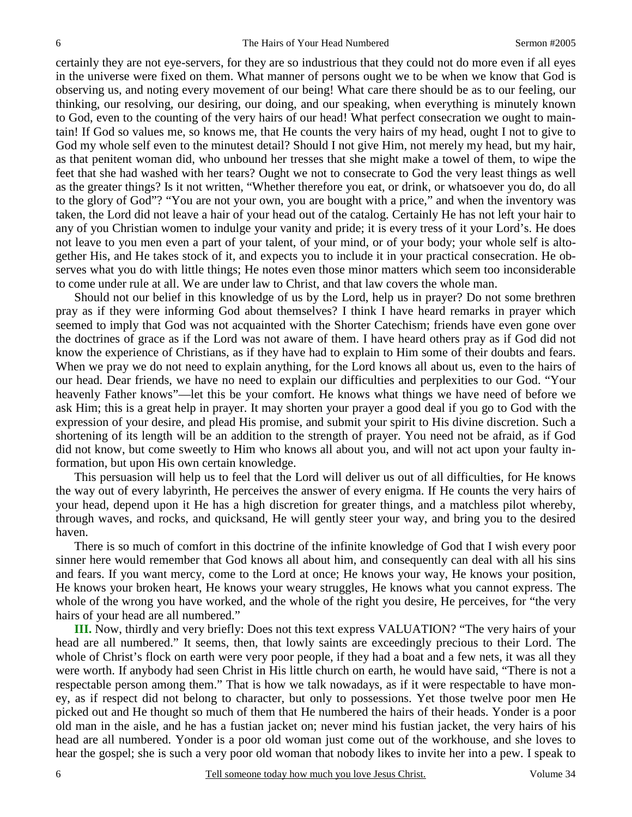certainly they are not eye-servers, for they are so industrious that they could not do more even if all eyes in the universe were fixed on them. What manner of persons ought we to be when we know that God is observing us, and noting every movement of our being! What care there should be as to our feeling, our thinking, our resolving, our desiring, our doing, and our speaking, when everything is minutely known to God, even to the counting of the very hairs of our head! What perfect consecration we ought to maintain! If God so values me, so knows me, that He counts the very hairs of my head, ought I not to give to God my whole self even to the minutest detail? Should I not give Him, not merely my head, but my hair, as that penitent woman did, who unbound her tresses that she might make a towel of them, to wipe the feet that she had washed with her tears? Ought we not to consecrate to God the very least things as well as the greater things? Is it not written, "Whether therefore you eat, or drink, or whatsoever you do, do all to the glory of God"? "You are not your own, you are bought with a price," and when the inventory was taken, the Lord did not leave a hair of your head out of the catalog. Certainly He has not left your hair to any of you Christian women to indulge your vanity and pride; it is every tress of it your Lord's. He does not leave to you men even a part of your talent, of your mind, or of your body; your whole self is altogether His, and He takes stock of it, and expects you to include it in your practical consecration. He observes what you do with little things; He notes even those minor matters which seem too inconsiderable to come under rule at all. We are under law to Christ, and that law covers the whole man.

Should not our belief in this knowledge of us by the Lord, help us in prayer? Do not some brethren pray as if they were informing God about themselves? I think I have heard remarks in prayer which seemed to imply that God was not acquainted with the Shorter Catechism; friends have even gone over the doctrines of grace as if the Lord was not aware of them. I have heard others pray as if God did not know the experience of Christians, as if they have had to explain to Him some of their doubts and fears. When we pray we do not need to explain anything, for the Lord knows all about us, even to the hairs of our head. Dear friends, we have no need to explain our difficulties and perplexities to our God. "Your heavenly Father knows"—let this be your comfort. He knows what things we have need of before we ask Him; this is a great help in prayer. It may shorten your prayer a good deal if you go to God with the expression of your desire, and plead His promise, and submit your spirit to His divine discretion. Such a shortening of its length will be an addition to the strength of prayer. You need not be afraid, as if God did not know, but come sweetly to Him who knows all about you, and will not act upon your faulty information, but upon His own certain knowledge.

This persuasion will help us to feel that the Lord will deliver us out of all difficulties, for He knows the way out of every labyrinth, He perceives the answer of every enigma. If He counts the very hairs of your head, depend upon it He has a high discretion for greater things, and a matchless pilot whereby, through waves, and rocks, and quicksand, He will gently steer your way, and bring you to the desired haven.

There is so much of comfort in this doctrine of the infinite knowledge of God that I wish every poor sinner here would remember that God knows all about him, and consequently can deal with all his sins and fears. If you want mercy, come to the Lord at once; He knows your way, He knows your position, He knows your broken heart, He knows your weary struggles, He knows what you cannot express. The whole of the wrong you have worked, and the whole of the right you desire, He perceives, for "the very hairs of your head are all numbered."

**III.** Now, thirdly and very briefly: Does not this text express VALUATION? "The very hairs of your head are all numbered." It seems, then, that lowly saints are exceedingly precious to their Lord. The whole of Christ's flock on earth were very poor people, if they had a boat and a few nets, it was all they were worth. If anybody had seen Christ in His little church on earth, he would have said, "There is not a respectable person among them." That is how we talk nowadays, as if it were respectable to have money, as if respect did not belong to character, but only to possessions. Yet those twelve poor men He picked out and He thought so much of them that He numbered the hairs of their heads. Yonder is a poor old man in the aisle, and he has a fustian jacket on; never mind his fustian jacket, the very hairs of his head are all numbered. Yonder is a poor old woman just come out of the workhouse, and she loves to hear the gospel; she is such a very poor old woman that nobody likes to invite her into a pew. I speak to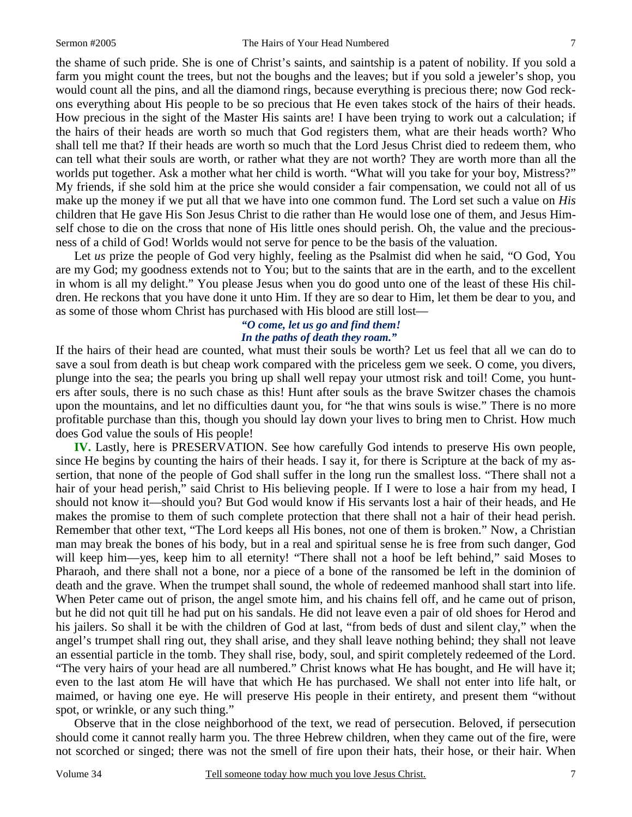the shame of such pride. She is one of Christ's saints, and saintship is a patent of nobility. If you sold a farm you might count the trees, but not the boughs and the leaves; but if you sold a jeweler's shop, you would count all the pins, and all the diamond rings, because everything is precious there; now God reckons everything about His people to be so precious that He even takes stock of the hairs of their heads. How precious in the sight of the Master His saints are! I have been trying to work out a calculation; if the hairs of their heads are worth so much that God registers them, what are their heads worth? Who shall tell me that? If their heads are worth so much that the Lord Jesus Christ died to redeem them, who can tell what their souls are worth, or rather what they are not worth? They are worth more than all the worlds put together. Ask a mother what her child is worth. "What will you take for your boy, Mistress?" My friends, if she sold him at the price she would consider a fair compensation, we could not all of us make up the money if we put all that we have into one common fund. The Lord set such a value on *His* children that He gave His Son Jesus Christ to die rather than He would lose one of them, and Jesus Himself chose to die on the cross that none of His little ones should perish. Oh, the value and the preciousness of a child of God! Worlds would not serve for pence to be the basis of the valuation.

Let *us* prize the people of God very highly, feeling as the Psalmist did when he said, "O God, You are my God; my goodness extends not to You; but to the saints that are in the earth, and to the excellent in whom is all my delight." You please Jesus when you do good unto one of the least of these His children. He reckons that you have done it unto Him. If they are so dear to Him, let them be dear to you, and as some of those whom Christ has purchased with His blood are still lost—

### *"O come, let us go and find them! In the paths of death they roam."*

If the hairs of their head are counted, what must their souls be worth? Let us feel that all we can do to save a soul from death is but cheap work compared with the priceless gem we seek. O come, you divers, plunge into the sea; the pearls you bring up shall well repay your utmost risk and toil! Come, you hunters after souls, there is no such chase as this! Hunt after souls as the brave Switzer chases the chamois upon the mountains, and let no difficulties daunt you, for "he that wins souls is wise." There is no more profitable purchase than this, though you should lay down your lives to bring men to Christ. How much does God value the souls of His people!

**IV.** Lastly, here is PRESERVATION. See how carefully God intends to preserve His own people, since He begins by counting the hairs of their heads. I say it, for there is Scripture at the back of my assertion, that none of the people of God shall suffer in the long run the smallest loss. "There shall not a hair of your head perish," said Christ to His believing people. If I were to lose a hair from my head, I should not know it—should you? But God would know if His servants lost a hair of their heads, and He makes the promise to them of such complete protection that there shall not a hair of their head perish. Remember that other text, "The Lord keeps all His bones, not one of them is broken." Now, a Christian man may break the bones of his body, but in a real and spiritual sense he is free from such danger, God will keep him—yes, keep him to all eternity! "There shall not a hoof be left behind," said Moses to Pharaoh, and there shall not a bone, nor a piece of a bone of the ransomed be left in the dominion of death and the grave. When the trumpet shall sound, the whole of redeemed manhood shall start into life. When Peter came out of prison, the angel smote him, and his chains fell off, and he came out of prison, but he did not quit till he had put on his sandals. He did not leave even a pair of old shoes for Herod and his jailers. So shall it be with the children of God at last, "from beds of dust and silent clay," when the angel's trumpet shall ring out, they shall arise, and they shall leave nothing behind; they shall not leave an essential particle in the tomb. They shall rise, body, soul, and spirit completely redeemed of the Lord. "The very hairs of your head are all numbered." Christ knows what He has bought, and He will have it; even to the last atom He will have that which He has purchased. We shall not enter into life halt, or maimed, or having one eye. He will preserve His people in their entirety, and present them "without spot, or wrinkle, or any such thing."

Observe that in the close neighborhood of the text, we read of persecution. Beloved, if persecution should come it cannot really harm you. The three Hebrew children, when they came out of the fire, were not scorched or singed; there was not the smell of fire upon their hats, their hose, or their hair. When